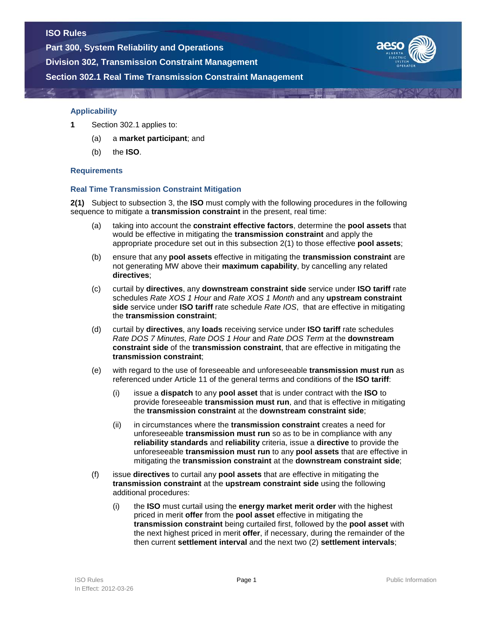**Part 300, System Reliability and Operations**

**Division 302, Transmission Constraint Management**





### **Applicability**

- **1** Section 302.1 applies to:
	- (a) a **market participant**; and
	- (b) the **ISO**.

## **Requirements**

# **Real Time Transmission Constraint Mitigation**

**2(1)** Subject to subsection 3, the **ISO** must comply with the following procedures in the following sequence to mitigate a **transmission constraint** in the present, real time:

- (a) taking into account the **constraint effective factors**, determine the **pool assets** that would be effective in mitigating the **transmission constraint** and apply the appropriate procedure set out in this subsection 2(1) to those effective **pool assets**;
- (b) ensure that any **pool assets** effective in mitigating the **transmission constraint** are not generating MW above their **maximum capability**, by cancelling any related **directives**;
- (c) curtail by **directives**, any **downstream constraint side** service under **ISO tariff** rate schedules *Rate XOS 1 Hour* and *Rate XOS 1 Month* and any **upstream constraint side** service under **ISO tariff** rate schedule *Rate IOS*, that are effective in mitigating the **transmission constraint**;
- (d) curtail by **directives**, any **loads** receiving service under **ISO tariff** rate schedules *Rate DOS 7 Minutes, Rate DOS 1 Hour* and *Rate DOS Term* at the **downstream constraint side** of the **transmission constraint**, that are effective in mitigating the **transmission constraint**;
- (e) with regard to the use of foreseeable and unforeseeable **transmission must run** as referenced under Article 11 of the general terms and conditions of the **ISO tariff**:
	- (i) issue a **dispatch** to any **pool asset** that is under contract with the **ISO** to provide foreseeable **transmission must run**, and that is effective in mitigating the **transmission constraint** at the **downstream constraint side**;
	- (ii) in circumstances where the **transmission constraint** creates a need for unforeseeable **transmission must run** so as to be in compliance with any **reliability standards** and **reliability** criteria, issue a **directive** to provide the unforeseeable **transmission must run** to any **pool assets** that are effective in mitigating the **transmission constraint** at the **downstream constraint side**;
- (f) issue **directives** to curtail any **pool assets** that are effective in mitigating the **transmission constraint** at the **upstream constraint side** using the following additional procedures:
	- (i) the **ISO** must curtail using the **energy market merit order** with the highest priced in merit **offer** from the **pool asset** effective in mitigating the **transmission constraint** being curtailed first, followed by the **pool asset** with the next highest priced in merit **offer**, if necessary, during the remainder of the then current **settlement interval** and the next two (2) **settlement intervals**;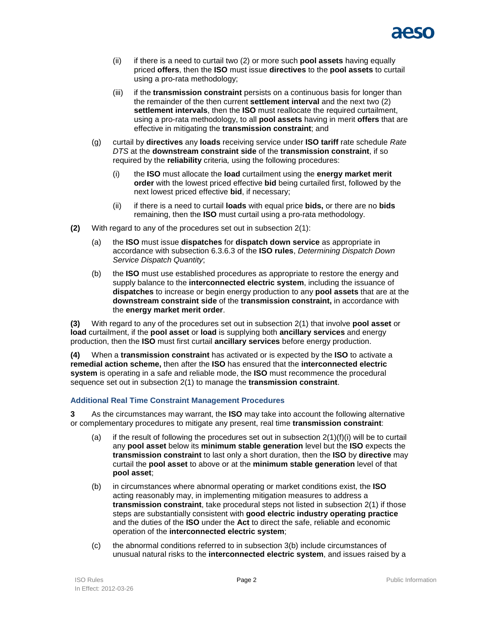

- (ii) if there is a need to curtail two (2) or more such **pool assets** having equally priced **offers**, then the **ISO** must issue **directives** to the **pool assets** to curtail using a pro-rata methodology;
- (iii) if the **transmission constraint** persists on a continuous basis for longer than the remainder of the then current **settlement interval** and the next two (2) **settlement intervals**, then the **ISO** must reallocate the required curtailment, using a pro-rata methodology, to all **pool assets** having in merit **offers** that are effective in mitigating the **transmission constraint**; and
- (g) curtail by **directives** any **loads** receiving service under **ISO tariff** rate schedule *Rate DTS* at the **downstream constraint side** of the **transmission constraint**, if so required by the **reliability** criteria*,* using the following procedures:
	- (i) the **ISO** must allocate the **load** curtailment using the **energy market merit order** with the lowest priced effective **bid** being curtailed first, followed by the next lowest priced effective **bid**, if necessary;
	- (ii) if there is a need to curtail **loads** with equal price **bids,** or there are no **bids** remaining, then the **ISO** must curtail using a pro-rata methodology.
- **(2)** With regard to any of the procedures set out in subsection 2(1):
	- (a) the **ISO** must issue **dispatches** for **dispatch down service** as appropriate in accordance with subsection 6.3.6.3 of the **ISO rules**, *Determining Dispatch Down Service Dispatch Quantity*;
	- (b) the **ISO** must use established procedures as appropriate to restore the energy and supply balance to the **interconnected electric system**, including the issuance of **dispatches** to increase or begin energy production to any **pool assets** that are at the **downstream constraint side** of the **transmission constraint,** in accordance with the **energy market merit order**.

**(3)** With regard to any of the procedures set out in subsection 2(1) that involve **pool asset** or **load** curtailment, if the **pool asset** or **load** is supplying both **ancillary services** and energy production, then the **ISO** must first curtail **ancillary services** before energy production.

**(4)** When a **transmission constraint** has activated or is expected by the **ISO** to activate a **remedial action scheme,** then after the **ISO** has ensured that the **interconnected electric system** is operating in a safe and reliable mode, the **ISO** must recommence the procedural sequence set out in subsection 2(1) to manage the **transmission constraint**.

## **Additional Real Time Constraint Management Procedures**

**3** As the circumstances may warrant, the **ISO** may take into account the following alternative or complementary procedures to mitigate any present, real time **transmission constraint**:

- (a) if the result of following the procedures set out in subsection  $2(1)(f)(i)$  will be to curtail any **pool asset** below its **minimum stable generation** level but the **ISO** expects the **transmission constraint** to last only a short duration, then the **ISO** by **directive** may curtail the **pool asset** to above or at the **minimum stable generation** level of that **pool asset**;
- (b) in circumstances where abnormal operating or market conditions exist, the **ISO** acting reasonably may, in implementing mitigation measures to address a **transmission constraint**, take procedural steps not listed in subsection 2(1) if those steps are substantially consistent with **good electric industry operating practice** and the duties of the **ISO** under the **Act** to direct the safe, reliable and economic operation of the **interconnected electric system**;
- (c) the abnormal conditions referred to in subsection 3(b) include circumstances of unusual natural risks to the **interconnected electric system**, and issues raised by a